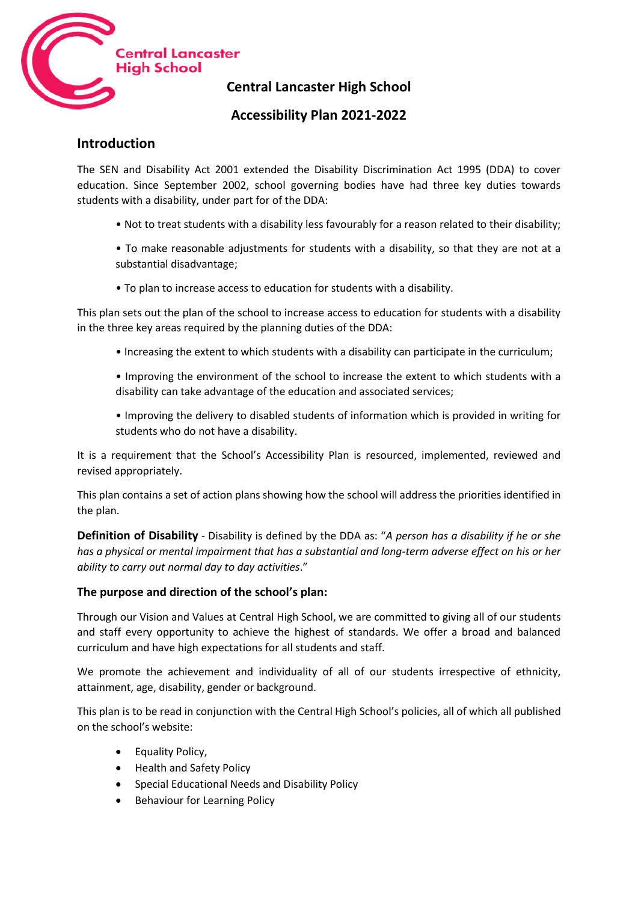

**Central Lancaster High School**

# **Accessibility Plan 2021-2022**

## **Introduction**

The SEN and Disability Act 2001 extended the Disability Discrimination Act 1995 (DDA) to cover education. Since September 2002, school governing bodies have had three key duties towards students with a disability, under part for of the DDA:

- Not to treat students with a disability less favourably for a reason related to their disability;
- To make reasonable adjustments for students with a disability, so that they are not at a substantial disadvantage;
- To plan to increase access to education for students with a disability.

This plan sets out the plan of the school to increase access to education for students with a disability in the three key areas required by the planning duties of the DDA:

- Increasing the extent to which students with a disability can participate in the curriculum;
- Improving the environment of the school to increase the extent to which students with a disability can take advantage of the education and associated services;
- Improving the delivery to disabled students of information which is provided in writing for students who do not have a disability.

It is a requirement that the School's Accessibility Plan is resourced, implemented, reviewed and revised appropriately.

This plan contains a set of action plans showing how the school will address the priorities identified in the plan.

**Definition of Disability** - Disability is defined by the DDA as: "*A person has a disability if he or she has a physical or mental impairment that has a substantial and long-term adverse effect on his or her ability to carry out normal day to day activities*."

### **The purpose and direction of the school's plan:**

Through our Vision and Values at Central High School, we are committed to giving all of our students and staff every opportunity to achieve the highest of standards. We offer a broad and balanced curriculum and have high expectations for all students and staff.

We promote the achievement and individuality of all of our students irrespective of ethnicity, attainment, age, disability, gender or background.

This plan is to be read in conjunction with the Central High School's policies, all of which all published on the school's website:

- Equality Policy,
- Health and Safety Policy
- Special Educational Needs and Disability Policy
- Behaviour for Learning Policy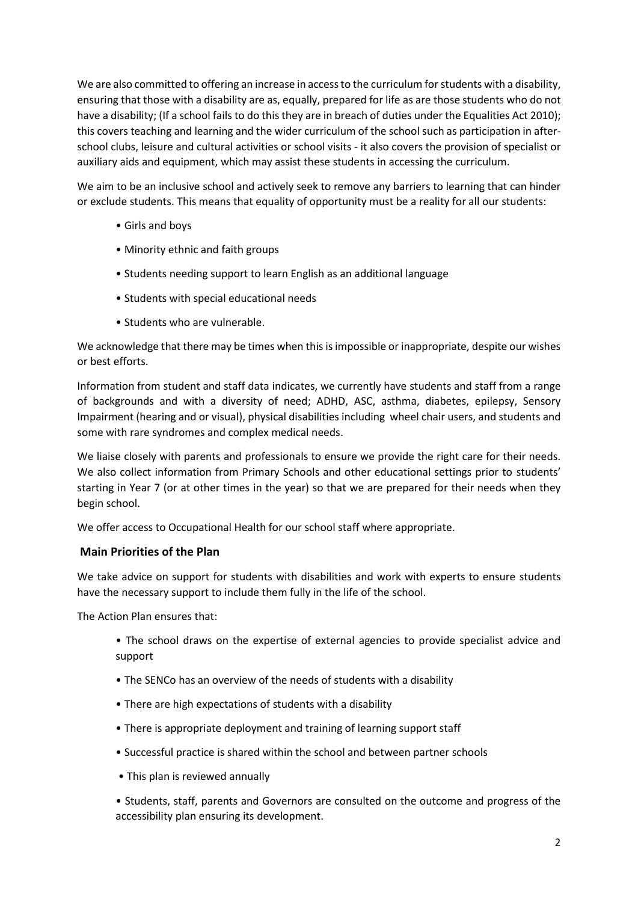We are also committed to offering an increase in access to the curriculum for students with a disability, ensuring that those with a disability are as, equally, prepared for life as are those students who do not have a disability; (If a school fails to do this they are in breach of duties under the Equalities Act 2010); this covers teaching and learning and the wider curriculum of the school such as participation in afterschool clubs, leisure and cultural activities or school visits - it also covers the provision of specialist or auxiliary aids and equipment, which may assist these students in accessing the curriculum.

We aim to be an inclusive school and actively seek to remove any barriers to learning that can hinder or exclude students. This means that equality of opportunity must be a reality for all our students:

- Girls and boys
- Minority ethnic and faith groups
- Students needing support to learn English as an additional language
- Students with special educational needs
- Students who are vulnerable.

We acknowledge that there may be times when this is impossible or inappropriate, despite our wishes or best efforts.

Information from student and staff data indicates, we currently have students and staff from a range of backgrounds and with a diversity of need; ADHD, ASC, asthma, diabetes, epilepsy, Sensory Impairment (hearing and or visual), physical disabilities including wheel chair users, and students and some with rare syndromes and complex medical needs.

We liaise closely with parents and professionals to ensure we provide the right care for their needs. We also collect information from Primary Schools and other educational settings prior to students' starting in Year 7 (or at other times in the year) so that we are prepared for their needs when they begin school.

We offer access to Occupational Health for our school staff where appropriate.

#### **Main Priorities of the Plan**

We take advice on support for students with disabilities and work with experts to ensure students have the necessary support to include them fully in the life of the school.

The Action Plan ensures that:

- The school draws on the expertise of external agencies to provide specialist advice and support
- The SENCo has an overview of the needs of students with a disability
- There are high expectations of students with a disability
- There is appropriate deployment and training of learning support staff
- Successful practice is shared within the school and between partner schools
- This plan is reviewed annually

• Students, staff, parents and Governors are consulted on the outcome and progress of the accessibility plan ensuring its development.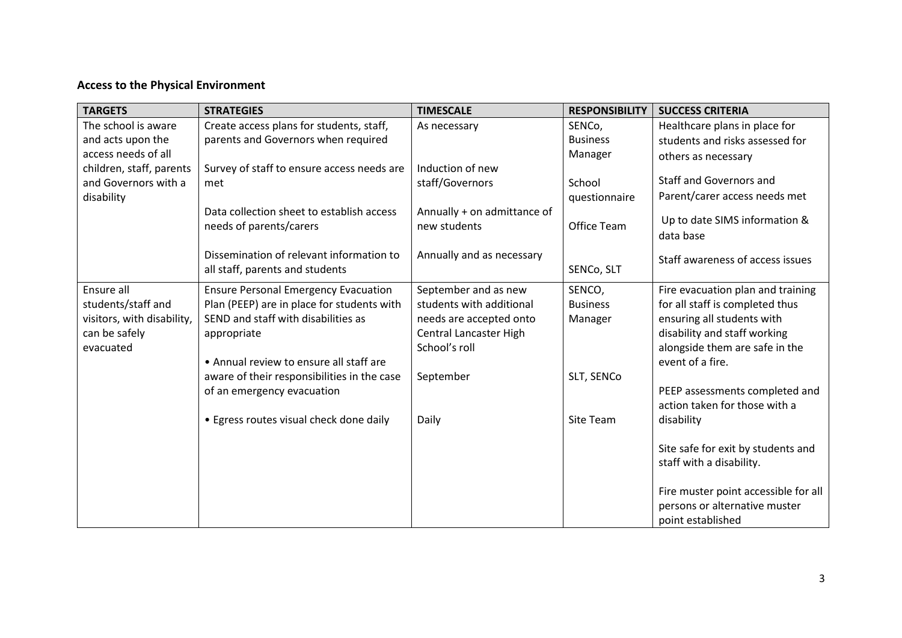# **Access to the Physical Environment**

| <b>TARGETS</b>                                                                               | <b>STRATEGIES</b>                                                                                                                                                                                                                         | <b>TIMESCALE</b>                                                                                                                    | <b>RESPONSIBILITY</b>                              | <b>SUCCESS CRITERIA</b>                                                                                                                                                                                                  |
|----------------------------------------------------------------------------------------------|-------------------------------------------------------------------------------------------------------------------------------------------------------------------------------------------------------------------------------------------|-------------------------------------------------------------------------------------------------------------------------------------|----------------------------------------------------|--------------------------------------------------------------------------------------------------------------------------------------------------------------------------------------------------------------------------|
| The school is aware                                                                          | Create access plans for students, staff,                                                                                                                                                                                                  | As necessary                                                                                                                        | SENCo,                                             | Healthcare plans in place for                                                                                                                                                                                            |
| and acts upon the                                                                            | parents and Governors when required                                                                                                                                                                                                       |                                                                                                                                     | <b>Business</b>                                    | students and risks assessed for                                                                                                                                                                                          |
| access needs of all                                                                          |                                                                                                                                                                                                                                           |                                                                                                                                     | Manager                                            | others as necessary                                                                                                                                                                                                      |
| children, staff, parents<br>and Governors with a<br>disability                               | Survey of staff to ensure access needs are<br>met<br>Data collection sheet to establish access                                                                                                                                            | Induction of new<br>staff/Governors<br>Annually + on admittance of                                                                  | School<br>questionnaire                            | Staff and Governors and<br>Parent/carer access needs met                                                                                                                                                                 |
|                                                                                              | needs of parents/carers                                                                                                                                                                                                                   | new students                                                                                                                        | Office Team                                        | Up to date SIMS information &<br>data base                                                                                                                                                                               |
|                                                                                              | Dissemination of relevant information to<br>all staff, parents and students                                                                                                                                                               | Annually and as necessary                                                                                                           | SENCo, SLT                                         | Staff awareness of access issues                                                                                                                                                                                         |
| Ensure all<br>students/staff and<br>visitors, with disability,<br>can be safely<br>evacuated | <b>Ensure Personal Emergency Evacuation</b><br>Plan (PEEP) are in place for students with<br>SEND and staff with disabilities as<br>appropriate<br>• Annual review to ensure all staff are<br>aware of their responsibilities in the case | September and as new<br>students with additional<br>needs are accepted onto<br>Central Lancaster High<br>School's roll<br>September | SENCO,<br><b>Business</b><br>Manager<br>SLT, SENCo | Fire evacuation plan and training<br>for all staff is completed thus<br>ensuring all students with<br>disability and staff working<br>alongside them are safe in the<br>event of a fire.                                 |
|                                                                                              | of an emergency evacuation<br>• Egress routes visual check done daily                                                                                                                                                                     | Daily                                                                                                                               | Site Team                                          | PEEP assessments completed and<br>action taken for those with a<br>disability<br>Site safe for exit by students and<br>staff with a disability.<br>Fire muster point accessible for all<br>persons or alternative muster |
|                                                                                              |                                                                                                                                                                                                                                           |                                                                                                                                     |                                                    | point established                                                                                                                                                                                                        |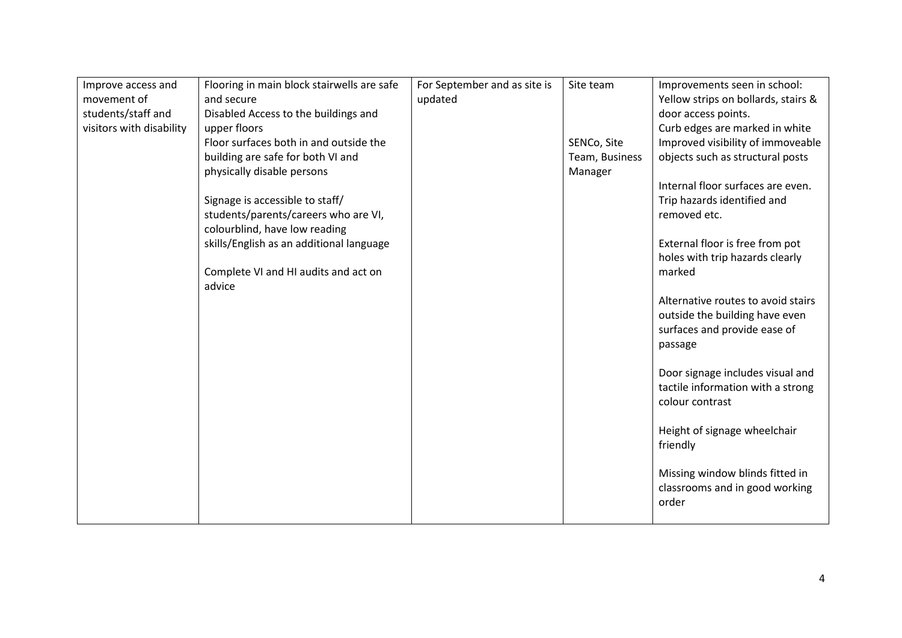| Improve access and       | Flooring in main block stairwells are safe | For September and as site is | Site team      | Improvements seen in school:        |
|--------------------------|--------------------------------------------|------------------------------|----------------|-------------------------------------|
| movement of              | and secure                                 | updated                      |                | Yellow strips on bollards, stairs & |
| students/staff and       | Disabled Access to the buildings and       |                              |                | door access points.                 |
| visitors with disability | upper floors                               |                              |                | Curb edges are marked in white      |
|                          | Floor surfaces both in and outside the     |                              |                |                                     |
|                          |                                            |                              | SENCo, Site    | Improved visibility of immoveable   |
|                          | building are safe for both VI and          |                              | Team, Business | objects such as structural posts    |
|                          | physically disable persons                 |                              | Manager        |                                     |
|                          |                                            |                              |                | Internal floor surfaces are even.   |
|                          | Signage is accessible to staff/            |                              |                | Trip hazards identified and         |
|                          | students/parents/careers who are VI,       |                              |                | removed etc.                        |
|                          | colourblind, have low reading              |                              |                |                                     |
|                          | skills/English as an additional language   |                              |                | External floor is free from pot     |
|                          |                                            |                              |                | holes with trip hazards clearly     |
|                          | Complete VI and HI audits and act on       |                              |                | marked                              |
|                          | advice                                     |                              |                |                                     |
|                          |                                            |                              |                | Alternative routes to avoid stairs  |
|                          |                                            |                              |                | outside the building have even      |
|                          |                                            |                              |                | surfaces and provide ease of        |
|                          |                                            |                              |                | passage                             |
|                          |                                            |                              |                |                                     |
|                          |                                            |                              |                | Door signage includes visual and    |
|                          |                                            |                              |                | tactile information with a strong   |
|                          |                                            |                              |                | colour contrast                     |
|                          |                                            |                              |                |                                     |
|                          |                                            |                              |                | Height of signage wheelchair        |
|                          |                                            |                              |                |                                     |
|                          |                                            |                              |                | friendly                            |
|                          |                                            |                              |                |                                     |
|                          |                                            |                              |                | Missing window blinds fitted in     |
|                          |                                            |                              |                | classrooms and in good working      |
|                          |                                            |                              |                | order                               |
|                          |                                            |                              |                |                                     |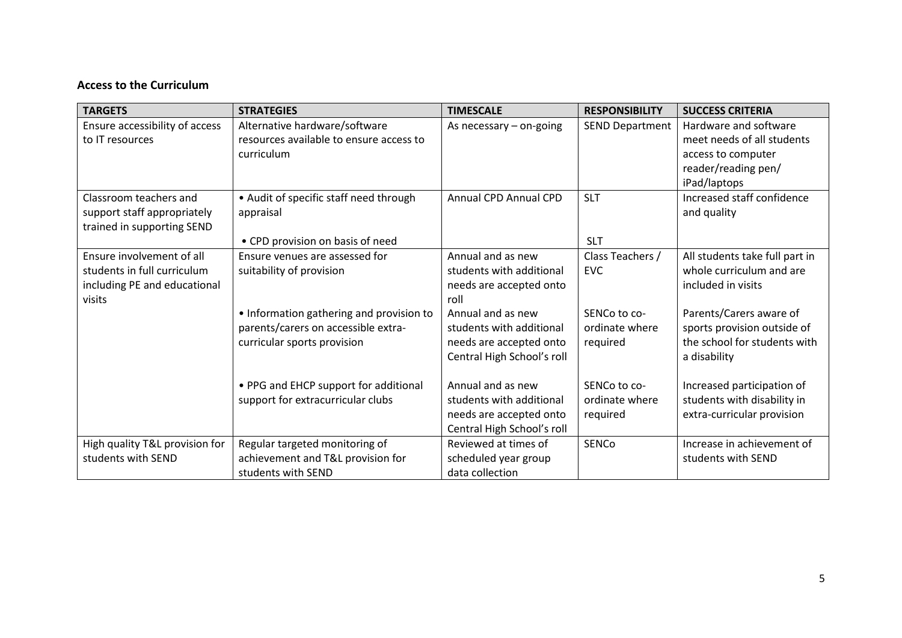## **Access to the Curriculum**

| <b>TARGETS</b>                 | <b>STRATEGIES</b>                        | <b>TIMESCALE</b>           | <b>RESPONSIBILITY</b>  | <b>SUCCESS CRITERIA</b>        |
|--------------------------------|------------------------------------------|----------------------------|------------------------|--------------------------------|
| Ensure accessibility of access | Alternative hardware/software            | As necessary $-$ on-going  | <b>SEND Department</b> | Hardware and software          |
| to IT resources                | resources available to ensure access to  |                            |                        | meet needs of all students     |
|                                | curriculum                               |                            |                        | access to computer             |
|                                |                                          |                            |                        | reader/reading pen/            |
|                                |                                          |                            |                        | iPad/laptops                   |
| Classroom teachers and         | • Audit of specific staff need through   | Annual CPD Annual CPD      | <b>SLT</b>             | Increased staff confidence     |
| support staff appropriately    | appraisal                                |                            |                        | and quality                    |
| trained in supporting SEND     |                                          |                            |                        |                                |
|                                | • CPD provision on basis of need         |                            | <b>SLT</b>             |                                |
| Ensure involvement of all      | Ensure venues are assessed for           | Annual and as new          | Class Teachers /       | All students take full part in |
| students in full curriculum    | suitability of provision                 | students with additional   | <b>EVC</b>             | whole curriculum and are       |
| including PE and educational   |                                          | needs are accepted onto    |                        | included in visits             |
| visits                         |                                          | roll                       |                        |                                |
|                                | • Information gathering and provision to | Annual and as new          | SENCo to co-           | Parents/Carers aware of        |
|                                | parents/carers on accessible extra-      | students with additional   | ordinate where         | sports provision outside of    |
|                                | curricular sports provision              | needs are accepted onto    | required               | the school for students with   |
|                                |                                          | Central High School's roll |                        | a disability                   |
|                                |                                          |                            |                        |                                |
|                                | • PPG and EHCP support for additional    | Annual and as new          | SENCo to co-           | Increased participation of     |
|                                | support for extracurricular clubs        | students with additional   | ordinate where         | students with disability in    |
|                                |                                          | needs are accepted onto    | required               | extra-curricular provision     |
|                                |                                          | Central High School's roll |                        |                                |
| High quality T&L provision for | Regular targeted monitoring of           | Reviewed at times of       | <b>SENCo</b>           | Increase in achievement of     |
| students with SEND             | achievement and T&L provision for        | scheduled year group       |                        | students with SEND             |
|                                | students with SEND                       | data collection            |                        |                                |